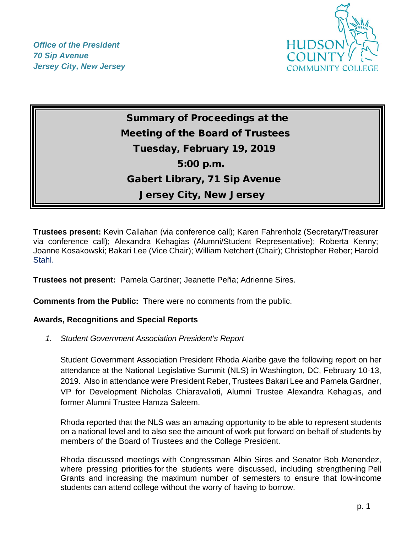*Office of the President 70 Sip Avenue Jersey City, New Jersey*



# Summary of Proceedings at the Meeting of the Board of Trustees Tuesday, February 19, 2019 5:00 p.m. Gabert Library, 71 Sip Avenue Jersey City, New Jersey

**Trustees present:** Kevin Callahan (via conference call); Karen Fahrenholz (Secretary/Treasurer via conference call); Alexandra Kehagias (Alumni/Student Representative); Roberta Kenny; Joanne Kosakowski; Bakari Lee (Vice Chair); William Netchert (Chair); Christopher Reber; Harold Stahl.

**Trustees not present:** Pamela Gardner; Jeanette Peña; Adrienne Sires.

**Comments from the Public:** There were no comments from the public.

#### **Awards, Recognitions and Special Reports**

*1. Student Government Association President's Report* 

Student Government Association President Rhoda Alaribe gave the following report on her attendance at the National Legislative Summit (NLS) in Washington, DC, February 10-13, 2019. Also in attendance were President Reber, Trustees Bakari Lee and Pamela Gardner, VP for Development Nicholas Chiaravalloti, Alumni Trustee Alexandra Kehagias, and former Alumni Trustee Hamza Saleem.

Rhoda reported that the NLS was an amazing opportunity to be able to represent students on a national level and to also see the amount of work put forward on behalf of students by members of the Board of Trustees and the College President.

Rhoda discussed meetings with Congressman Albio Sires and Senator Bob Menendez, where pressing priorities for the students were discussed, including strengthening Pell Grants and increasing the maximum number of semesters to ensure that low-income students can attend college without the worry of having to borrow.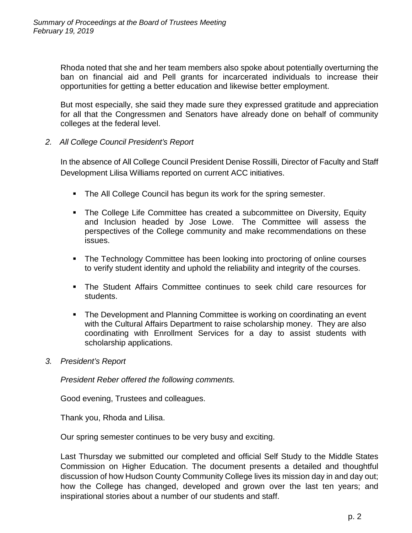Rhoda noted that she and her team members also spoke about potentially overturning the ban on financial aid and Pell grants for incarcerated individuals to increase their opportunities for getting a better education and likewise better employment.

But most especially, she said they made sure they expressed gratitude and appreciation for all that the Congressmen and Senators have already done on behalf of community colleges at the federal level.

## *2. All College Council President's Report*

In the absence of All College Council President Denise Rossilli, Director of Faculty and Staff Development Lilisa Williams reported on current ACC initiatives.

- **The All College Council has begun its work for the spring semester.**
- The College Life Committee has created a subcommittee on Diversity, Equity and Inclusion headed by Jose Lowe. The Committee will assess the perspectives of the College community and make recommendations on these issues.
- The Technology Committee has been looking into proctoring of online courses to verify student identity and uphold the reliability and integrity of the courses.
- The Student Affairs Committee continues to seek child care resources for students.
- The Development and Planning Committee is working on coordinating an event with the Cultural Affairs Department to raise scholarship money. They are also coordinating with Enrollment Services for a day to assist students with scholarship applications.
- *3. President's Report*

*President Reber offered the following comments.*

Good evening, Trustees and colleagues.

Thank you, Rhoda and Lilisa.

Our spring semester continues to be very busy and exciting.

Last Thursday we submitted our completed and official Self Study to the Middle States Commission on Higher Education. The document presents a detailed and thoughtful discussion of how Hudson County Community College lives its mission day in and day out; how the College has changed, developed and grown over the last ten years; and inspirational stories about a number of our students and staff.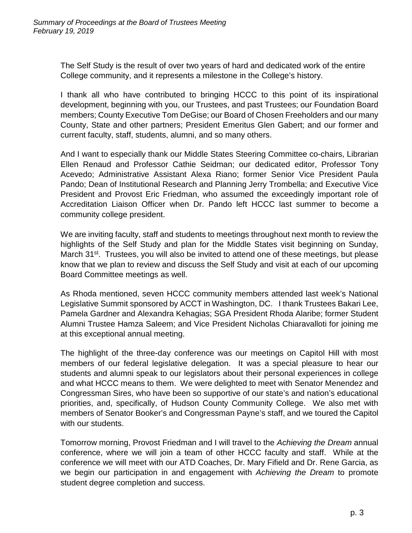The Self Study is the result of over two years of hard and dedicated work of the entire College community, and it represents a milestone in the College's history.

I thank all who have contributed to bringing HCCC to this point of its inspirational development, beginning with you, our Trustees, and past Trustees; our Foundation Board members; County Executive Tom DeGise; our Board of Chosen Freeholders and our many County, State and other partners; President Emeritus Glen Gabert; and our former and current faculty, staff, students, alumni, and so many others.

And I want to especially thank our Middle States Steering Committee co-chairs, Librarian Ellen Renaud and Professor Cathie Seidman; our dedicated editor, Professor Tony Acevedo; Administrative Assistant Alexa Riano; former Senior Vice President Paula Pando; Dean of Institutional Research and Planning Jerry Trombella; and Executive Vice President and Provost Eric Friedman, who assumed the exceedingly important role of Accreditation Liaison Officer when Dr. Pando left HCCC last summer to become a community college president.

We are inviting faculty, staff and students to meetings throughout next month to review the highlights of the Self Study and plan for the Middle States visit beginning on Sunday, March 31<sup>st</sup>. Trustees, you will also be invited to attend one of these meetings, but please know that we plan to review and discuss the Self Study and visit at each of our upcoming Board Committee meetings as well.

As Rhoda mentioned, seven HCCC community members attended last week's National Legislative Summit sponsored by ACCT in Washington, DC. I thank Trustees Bakari Lee, Pamela Gardner and Alexandra Kehagias; SGA President Rhoda Alaribe; former Student Alumni Trustee Hamza Saleem; and Vice President Nicholas Chiaravalloti for joining me at this exceptional annual meeting.

The highlight of the three-day conference was our meetings on Capitol Hill with most members of our federal legislative delegation. It was a special pleasure to hear our students and alumni speak to our legislators about their personal experiences in college and what HCCC means to them. We were delighted to meet with Senator Menendez and Congressman Sires, who have been so supportive of our state's and nation's educational priorities, and, specifically, of Hudson County Community College. We also met with members of Senator Booker's and Congressman Payne's staff, and we toured the Capitol with our students.

Tomorrow morning, Provost Friedman and I will travel to the *Achieving the Dream* annual conference, where we will join a team of other HCCC faculty and staff. While at the conference we will meet with our ATD Coaches, Dr. Mary Fifield and Dr. Rene Garcia, as we begin our participation in and engagement with *Achieving the Dream* to promote student degree completion and success.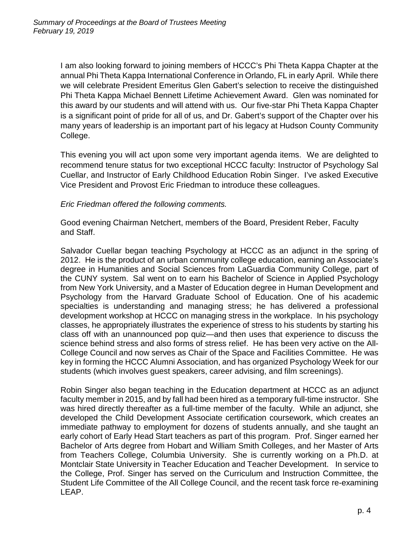I am also looking forward to joining members of HCCC's Phi Theta Kappa Chapter at the annual Phi Theta Kappa International Conference in Orlando, FL in early April. While there we will celebrate President Emeritus Glen Gabert's selection to receive the distinguished Phi Theta Kappa Michael Bennett Lifetime Achievement Award. Glen was nominated for this award by our students and will attend with us. Our five-star Phi Theta Kappa Chapter is a significant point of pride for all of us, and Dr. Gabert's support of the Chapter over his many years of leadership is an important part of his legacy at Hudson County Community College.

This evening you will act upon some very important agenda items. We are delighted to recommend tenure status for two exceptional HCCC faculty: Instructor of Psychology Sal Cuellar, and Instructor of Early Childhood Education Robin Singer. I've asked Executive Vice President and Provost Eric Friedman to introduce these colleagues.

#### *Eric Friedman offered the following comments.*

Good evening Chairman Netchert, members of the Board, President Reber, Faculty and Staff.

Salvador Cuellar began teaching Psychology at HCCC as an adjunct in the spring of 2012. He is the product of an urban community college education, earning an Associate's degree in Humanities and Social Sciences from LaGuardia Community College, part of the CUNY system. Sal went on to earn his Bachelor of Science in Applied Psychology from New York University, and a Master of Education degree in Human Development and Psychology from the Harvard Graduate School of Education. One of his academic specialties is understanding and managing stress; he has delivered a professional development workshop at HCCC on managing stress in the workplace. In his psychology classes, he appropriately illustrates the experience of stress to his students by starting his class off with an unannounced pop quiz—and then uses that experience to discuss the science behind stress and also forms of stress relief. He has been very active on the All-College Council and now serves as Chair of the Space and Facilities Committee. He was key in forming the HCCC Alumni Association, and has organized Psychology Week for our students (which involves guest speakers, career advising, and film screenings).

Robin Singer also began teaching in the Education department at HCCC as an adjunct faculty member in 2015, and by fall had been hired as a temporary full-time instructor. She was hired directly thereafter as a full-time member of the faculty. While an adjunct, she developed the Child Development Associate certification coursework, which creates an immediate pathway to employment for dozens of students annually, and she taught an early cohort of Early Head Start teachers as part of this program. Prof. Singer earned her Bachelor of Arts degree from Hobart and William Smith Colleges, and her Master of Arts from Teachers College, Columbia University. She is currently working on a Ph.D. at Montclair State University in Teacher Education and Teacher Development. In service to the College, Prof. Singer has served on the Curriculum and Instruction Committee, the Student Life Committee of the All College Council, and the recent task force re-examining LEAP.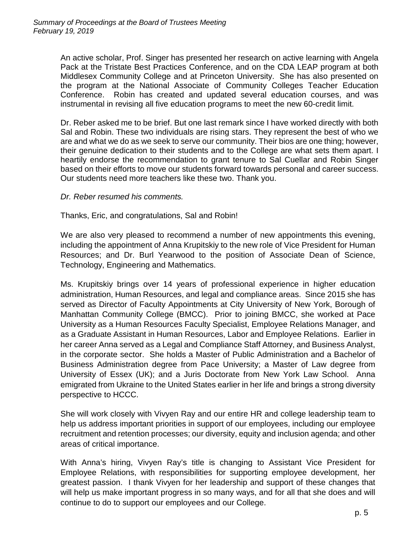An active scholar, Prof. Singer has presented her research on active learning with Angela Pack at the Tristate Best Practices Conference, and on the CDA LEAP program at both Middlesex Community College and at Princeton University. She has also presented on the program at the National Associate of Community Colleges Teacher Education Conference. Robin has created and updated several education courses, and was instrumental in revising all five education programs to meet the new 60-credit limit.

Dr. Reber asked me to be brief. But one last remark since I have worked directly with both Sal and Robin. These two individuals are rising stars. They represent the best of who we are and what we do as we seek to serve our community. Their bios are one thing; however, their genuine dedication to their students and to the College are what sets them apart. I heartily endorse the recommendation to grant tenure to Sal Cuellar and Robin Singer based on their efforts to move our students forward towards personal and career success. Our students need more teachers like these two. Thank you.

#### *Dr. Reber resumed his comments.*

#### Thanks, Eric, and congratulations, Sal and Robin!

We are also very pleased to recommend a number of new appointments this evening, including the appointment of Anna Krupitskiy to the new role of Vice President for Human Resources; and Dr. Burl Yearwood to the position of Associate Dean of Science, Technology, Engineering and Mathematics.

Ms. Krupitskiy brings over 14 years of professional experience in higher education administration, Human Resources, and legal and compliance areas. Since 2015 she has served as Director of Faculty Appointments at City University of New York, Borough of Manhattan Community College (BMCC). Prior to joining BMCC, she worked at Pace University as a Human Resources Faculty Specialist, Employee Relations Manager, and as a Graduate Assistant in Human Resources, Labor and Employee Relations. Earlier in her career Anna served as a Legal and Compliance Staff Attorney, and Business Analyst, in the corporate sector. She holds a Master of Public Administration and a Bachelor of Business Administration degree from Pace University; a Master of Law degree from University of Essex (UK); and a Juris Doctorate from New York Law School. Anna emigrated from Ukraine to the United States earlier in her life and brings a strong diversity perspective to HCCC.

She will work closely with Vivyen Ray and our entire HR and college leadership team to help us address important priorities in support of our employees, including our employee recruitment and retention processes; our diversity, equity and inclusion agenda; and other areas of critical importance.

With Anna's hiring, Vivyen Ray's title is changing to Assistant Vice President for Employee Relations, with responsibilities for supporting employee development, her greatest passion. I thank Vivyen for her leadership and support of these changes that will help us make important progress in so many ways, and for all that she does and will continue to do to support our employees and our College.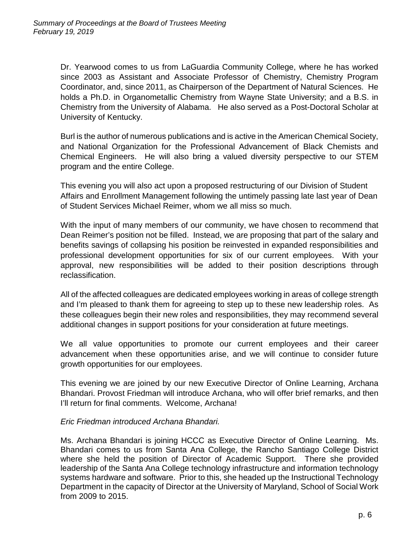Dr. Yearwood comes to us from LaGuardia Community College, where he has worked since 2003 as Assistant and Associate Professor of Chemistry, Chemistry Program Coordinator, and, since 2011, as Chairperson of the Department of Natural Sciences. He holds a Ph.D. in Organometallic Chemistry from Wayne State University; and a B.S. in Chemistry from the University of Alabama. He also served as a Post-Doctoral Scholar at University of Kentucky.

Burl is the author of numerous publications and is active in the American Chemical Society, and National Organization for the Professional Advancement of Black Chemists and Chemical Engineers. He will also bring a valued diversity perspective to our STEM program and the entire College.

This evening you will also act upon a proposed restructuring of our Division of Student Affairs and Enrollment Management following the untimely passing late last year of Dean of Student Services Michael Reimer, whom we all miss so much.

With the input of many members of our community, we have chosen to recommend that Dean Reimer's position not be filled. Instead, we are proposing that part of the salary and benefits savings of collapsing his position be reinvested in expanded responsibilities and professional development opportunities for six of our current employees. With your approval, new responsibilities will be added to their position descriptions through reclassification.

All of the affected colleagues are dedicated employees working in areas of college strength and I'm pleased to thank them for agreeing to step up to these new leadership roles. As these colleagues begin their new roles and responsibilities, they may recommend several additional changes in support positions for your consideration at future meetings.

We all value opportunities to promote our current employees and their career advancement when these opportunities arise, and we will continue to consider future growth opportunities for our employees.

This evening we are joined by our new Executive Director of Online Learning, Archana Bhandari. Provost Friedman will introduce Archana, who will offer brief remarks, and then I'll return for final comments. Welcome, Archana!

#### *Eric Friedman introduced Archana Bhandari.*

Ms. Archana Bhandari is joining HCCC as Executive Director of Online Learning. Ms. Bhandari comes to us from Santa Ana College, the Rancho Santiago College District where she held the position of Director of Academic Support. There she provided leadership of the Santa Ana College technology infrastructure and information technology systems hardware and software. Prior to this, she headed up the Instructional Technology Department in the capacity of Director at the University of Maryland, School of Social Work from 2009 to 2015.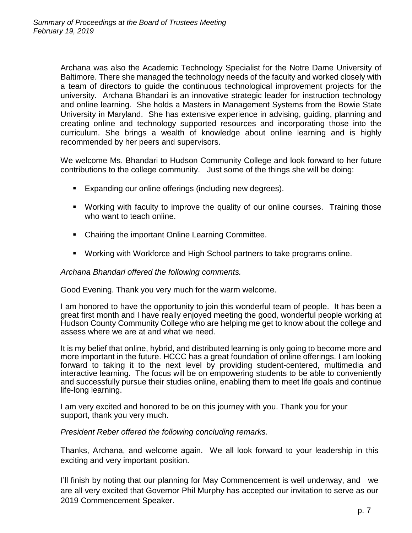Archana was also the Academic Technology Specialist for the Notre Dame University of Baltimore. There she managed the technology needs of the faculty and worked closely with a team of directors to guide the continuous technological improvement projects for the university. Archana Bhandari is an innovative strategic leader for instruction technology and online learning. She holds a Masters in Management Systems from the Bowie State University in Maryland. She has extensive experience in advising, guiding, planning and creating online and technology supported resources and incorporating those into the curriculum. She brings a wealth of knowledge about online learning and is highly recommended by her peers and supervisors.

We welcome Ms. Bhandari to Hudson Community College and look forward to her future contributions to the college community. Just some of the things she will be doing:

- **Expanding our online offerings (including new degrees).**
- Working with faculty to improve the quality of our online courses. Training those who want to teach online.
- Chairing the important Online Learning Committee.
- Working with Workforce and High School partners to take programs online.

#### *Archana Bhandari offered the following comments.*

Good Evening. Thank you very much for the warm welcome.

I am honored to have the opportunity to join this wonderful team of people. It has been a great first month and I have really enjoyed meeting the good, wonderful people working at Hudson County Community College who are helping me get to know about the college and assess where we are at and what we need.

It is my belief that online, hybrid, and distributed learning is only going to become more and more important in the future. HCCC has a great foundation of online offerings. I am looking forward to taking it to the next level by providing student-centered, multimedia and interactive learning. The focus will be on empowering students to be able to conveniently and successfully pursue their studies online, enabling them to meet life goals and continue life-long learning.

I am very excited and honored to be on this journey with you. Thank you for your support, thank you very much.

*President Reber offered the following concluding remarks.*

Thanks, Archana, and welcome again. We all look forward to your leadership in this exciting and very important position.

I'll finish by noting that our planning for May Commencement is well underway, and we are all very excited that Governor Phil Murphy has accepted our invitation to serve as our 2019 Commencement Speaker.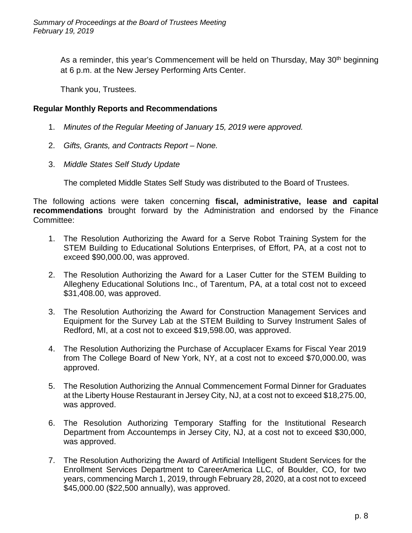As a reminder, this year's Commencement will be held on Thursday, May 30<sup>th</sup> beginning at 6 p.m. at the New Jersey Performing Arts Center.

Thank you, Trustees.

### **Regular Monthly Reports and Recommendations**

- 1. *Minutes of the Regular Meeting of January 15, 2019 were approved.*
- 2. *Gifts, Grants, and Contracts Report – None.*
- 3. *Middle States Self Study Update*

The completed Middle States Self Study was distributed to the Board of Trustees.

The following actions were taken concerning **fiscal, administrative, lease and capital recommendations** brought forward by the Administration and endorsed by the Finance Committee:

- 1. The Resolution Authorizing the Award for a Serve Robot Training System for the STEM Building to Educational Solutions Enterprises, of Effort, PA, at a cost not to exceed \$90,000.00, was approved.
- 2. The Resolution Authorizing the Award for a Laser Cutter for the STEM Building to Allegheny Educational Solutions Inc., of Tarentum, PA, at a total cost not to exceed \$31,408.00, was approved.
- 3. The Resolution Authorizing the Award for Construction Management Services and Equipment for the Survey Lab at the STEM Building to Survey Instrument Sales of Redford, MI, at a cost not to exceed \$19,598.00, was approved.
- 4. The Resolution Authorizing the Purchase of Accuplacer Exams for Fiscal Year 2019 from The College Board of New York, NY, at a cost not to exceed \$70,000.00, was approved.
- 5. The Resolution Authorizing the Annual Commencement Formal Dinner for Graduates at the Liberty House Restaurant in Jersey City, NJ, at a cost not to exceed \$18,275.00, was approved.
- 6. The Resolution Authorizing Temporary Staffing for the Institutional Research Department from Accountemps in Jersey City, NJ, at a cost not to exceed \$30,000, was approved.
- 7. The Resolution Authorizing the Award of Artificial Intelligent Student Services for the Enrollment Services Department to CareerAmerica LLC, of Boulder, CO, for two years, commencing March 1, 2019, through February 28, 2020, at a cost not to exceed \$45,000.00 (\$22,500 annually), was approved.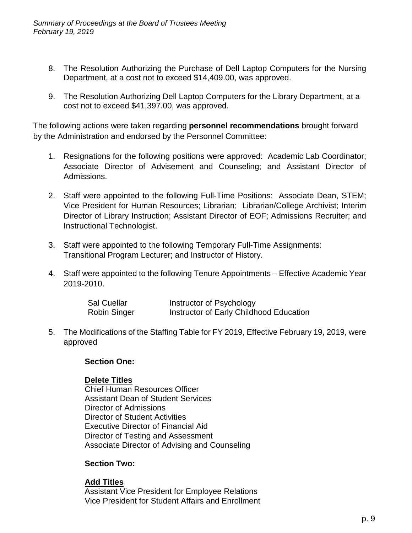- 8. The Resolution Authorizing the Purchase of Dell Laptop Computers for the Nursing Department, at a cost not to exceed \$14,409.00, was approved.
- 9. The Resolution Authorizing Dell Laptop Computers for the Library Department, at a cost not to exceed \$41,397.00, was approved.

The following actions were taken regarding **personnel recommendations** brought forward by the Administration and endorsed by the Personnel Committee:

- 1. Resignations for the following positions were approved: Academic Lab Coordinator; Associate Director of Advisement and Counseling; and Assistant Director of Admissions.
- 2. Staff were appointed to the following Full-Time Positions: Associate Dean, STEM; Vice President for Human Resources; Librarian; Librarian/College Archivist; Interim Director of Library Instruction; Assistant Director of EOF; Admissions Recruiter; and Instructional Technologist.
- 3. Staff were appointed to the following Temporary Full-Time Assignments: Transitional Program Lecturer; and Instructor of History.
- 4. Staff were appointed to the following Tenure Appointments Effective Academic Year 2019-2010.

| <b>Sal Cuellar</b>  | Instructor of Psychology                |
|---------------------|-----------------------------------------|
| <b>Robin Singer</b> | Instructor of Early Childhood Education |

5. The Modifications of the Staffing Table for FY 2019, Effective February 19, 2019, were approved

#### **Section One:**

## **Delete Titles**

Chief Human Resources Officer Assistant Dean of Student Services Director of Admissions Director of Student Activities Executive Director of Financial Aid Director of Testing and Assessment Associate Director of Advising and Counseling

## **Section Two:**

**Add Titles** Assistant Vice President for Employee Relations Vice President for Student Affairs and Enrollment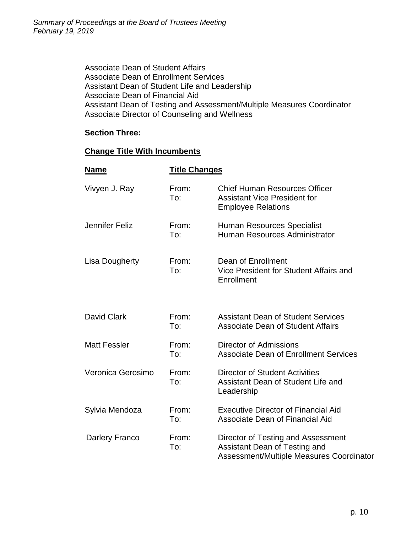Associate Dean of Student Affairs Associate Dean of Enrollment Services Assistant Dean of Student Life and Leadership Associate Dean of Financial Aid Assistant Dean of Testing and Assessment/Multiple Measures Coordinator Associate Director of Counseling and Wellness

## **Section Three:**

## **Change Title With Incumbents**

| <b>Name</b>           | <b>Title Changes</b> |                                                                                                                 |
|-----------------------|----------------------|-----------------------------------------------------------------------------------------------------------------|
| Vivyen J. Ray         | From:<br>To:         | <b>Chief Human Resources Officer</b><br><b>Assistant Vice President for</b><br><b>Employee Relations</b>        |
| Jennifer Feliz        | From:<br>To:         | <b>Human Resources Specialist</b><br>Human Resources Administrator                                              |
| <b>Lisa Dougherty</b> | From:<br>To:         | Dean of Enrollment<br>Vice President for Student Affairs and<br>Enrollment                                      |
| David Clark           | From:<br>To:         | <b>Assistant Dean of Student Services</b><br>Associate Dean of Student Affairs                                  |
| <b>Matt Fessler</b>   | From:<br>To:         | <b>Director of Admissions</b><br><b>Associate Dean of Enrollment Services</b>                                   |
| Veronica Gerosimo     | From:<br>To:         | <b>Director of Student Activities</b><br>Assistant Dean of Student Life and<br>Leadership                       |
| Sylvia Mendoza        | From:<br>To:         | <b>Executive Director of Financial Aid</b><br>Associate Dean of Financial Aid                                   |
| Darlery Franco        | From:<br>To:         | Director of Testing and Assessment<br>Assistant Dean of Testing and<br>Assessment/Multiple Measures Coordinator |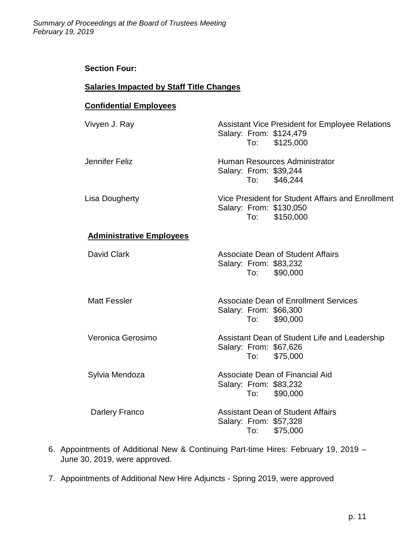#### **Section Four:**

## **Salaries Impacted by Staff Title Changes**

## **Confidential Employees**

| Vivyen J. Ray                   | <b>Assistant Vice President for Employee Relations</b><br>Salary: From: \$124,479<br>To: \$125,000 |
|---------------------------------|----------------------------------------------------------------------------------------------------|
| Jennifer Feliz                  | Human Resources Administrator<br>Salary: From: \$39,244<br>To: \$46,244                            |
| Lisa Dougherty                  | Vice President for Student Affairs and Enrollment<br>Salary: From: \$130,050<br>To: \$150,000      |
| <b>Administrative Employees</b> |                                                                                                    |
| <b>David Clark</b>              | <b>Associate Dean of Student Affairs</b><br>Salary: From: \$83,232<br>\$90,000<br>To: To           |
| <b>Matt Fessler</b>             | <b>Associate Dean of Enrollment Services</b><br>Salary: From: \$66,300<br>To: \$90,000             |
| Veronica Gerosimo               | Assistant Dean of Student Life and Leadership<br>Salary: From: \$67,626<br>To: \$75,000            |
| Sylvia Mendoza                  | Associate Dean of Financial Aid<br>Salary: From: \$83,232<br>To: \$90,000                          |
| Darlery Franco                  | <b>Assistant Dean of Student Affairs</b><br>Salary: From: \$57,328<br>To: \$75,000                 |

- 6. Appointments of Additional New & Continuing Part-time Hires: February 19, 2019 June 30, 2019, were approved.
- 7. Appointments of Additional New Hire Adjuncts Spring 2019, were approved